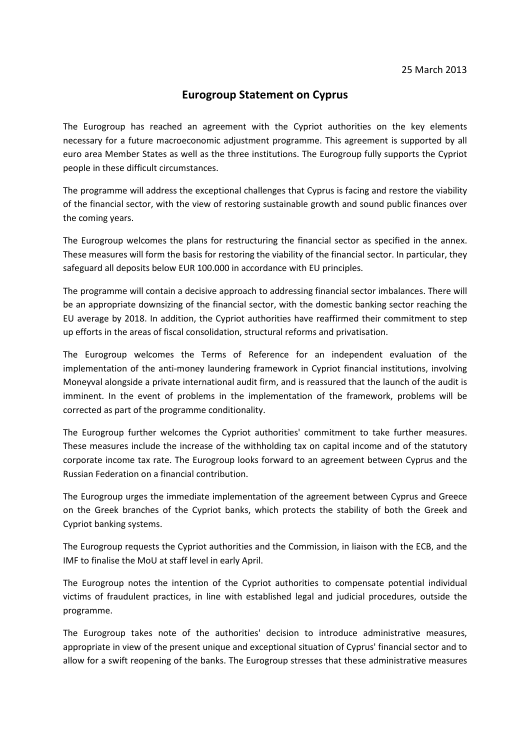## **Eurogroup Statement on Cyprus**

The Eurogroup has reached an agreement with the Cypriot authorities on the key elements necessary for a future macroeconomic adjustment programme. This agreement is supported by all euro area Member States as well as the three institutions. The Eurogroup fully supports the Cypriot people in these difficult circumstances.

The programme will address the exceptional challenges that Cyprus is facing and restore the viability of the financial sector, with the view of restoring sustainable growth and sound public finances over the coming years.

The Eurogroup welcomes the plans for restructuring the financial sector as specified in the annex. These measures will form the basis for restoring the viability of the financial sector. In particular, they safeguard all deposits below EUR 100.000 in accordance with EU principles.

The programme will contain a decisive approach to addressing financial sector imbalances. There will be an appropriate downsizing of the financial sector, with the domestic banking sector reaching the EU average by 2018. In addition, the Cypriot authorities have reaffirmed their commitment to step up efforts in the areas of fiscal consolidation, structural reforms and privatisation.

The Eurogroup welcomes the Terms of Reference for an independent evaluation of the implementation of the anti-money laundering framework in Cypriot financial institutions, involving Moneyval alongside a private international audit firm, and is reassured that the launch of the audit is imminent. In the event of problems in the implementation of the framework, problems will be corrected as part of the programme conditionality.

The Eurogroup further welcomes the Cypriot authorities' commitment to take further measures. These measures include the increase of the withholding tax on capital income and of the statutory corporate income tax rate. The Eurogroup looks forward to an agreement between Cyprus and the Russian Federation on a financial contribution.

The Eurogroup urges the immediate implementation of the agreement between Cyprus and Greece on the Greek branches of the Cypriot banks, which protects the stability of both the Greek and Cypriot banking systems.

The Eurogroup requests the Cypriot authorities and the Commission, in liaison with the ECB, and the IMF to finalise the MoU at staff level in early April.

The Eurogroup notes the intention of the Cypriot authorities to compensate potential individual victims of fraudulent practices, in line with established legal and judicial procedures, outside the programme.

The Eurogroup takes note of the authorities' decision to introduce administrative measures, appropriate in view of the present unique and exceptional situation of Cyprus' financial sector and to allow for a swift reopening of the banks. The Eurogroup stresses that these administrative measures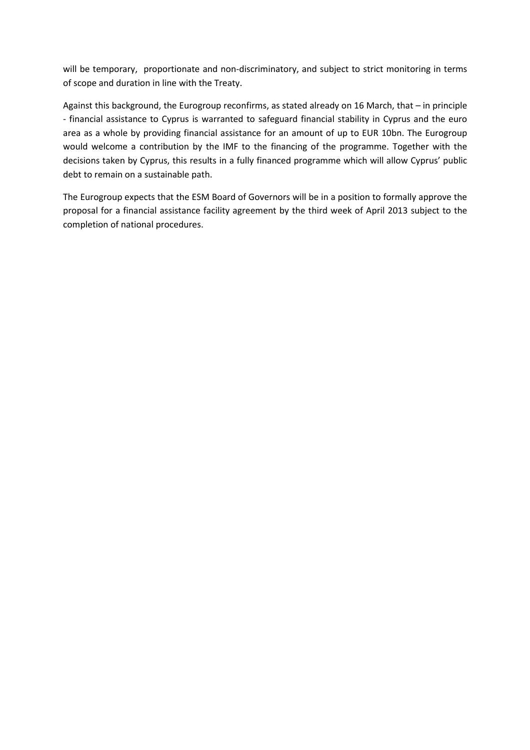will be temporary, proportionate and non-discriminatory, and subject to strict monitoring in terms of scope and duration in line with the Treaty.

Against this background, the Eurogroup reconfirms, as stated already on 16 March, that – in principle - financial assistance to Cyprus is warranted to safeguard financial stability in Cyprus and the euro area as a whole by providing financial assistance for an amount of up to EUR 10bn. The Eurogroup would welcome a contribution by the IMF to the financing of the programme. Together with the decisions taken by Cyprus, this results in a fully financed programme which will allow Cyprus' public debt to remain on a sustainable path.

The Eurogroup expects that the ESM Board of Governors will be in a position to formally approve the proposal for a financial assistance facility agreement by the third week of April 2013 subject to the completion of national procedures.